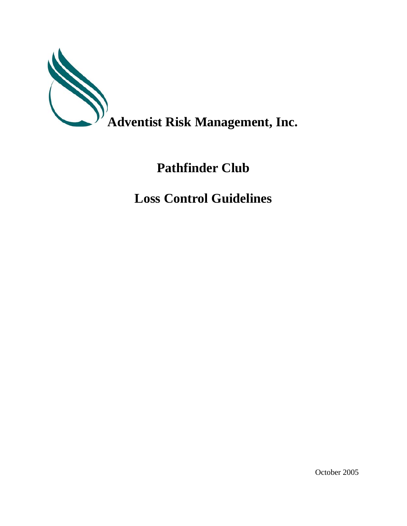

## **Pathfinder Club**

**Loss Control Guidelines**

October 2005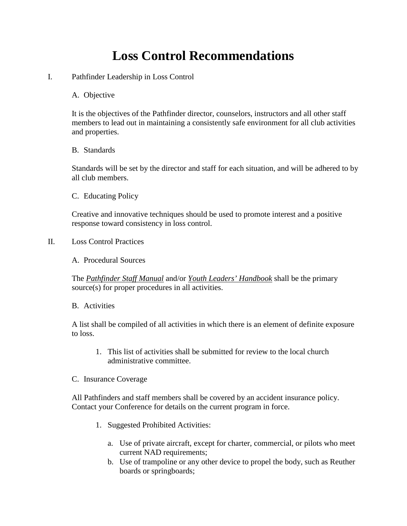## **Loss Control Recommendations**

- I. Pathfinder Leadership in Loss Control
	- A. Objective

It is the objectives of the Pathfinder director, counselors, instructors and all other staff members to lead out in maintaining a consistently safe environment for all club activities and properties.

B. Standards

Standards will be set by the director and staff for each situation, and will be adhered to by all club members.

C. Educating Policy

Creative and innovative techniques should be used to promote interest and a positive response toward consistency in loss control.

II. Loss Control Practices

A. Procedural Sources

The *Pathfinder Staff Manual* and/or *Youth Leaders' Handbook* shall be the primary source(s) for proper procedures in all activities.

B. Activities

A list shall be compiled of all activities in which there is an element of definite exposure to loss.

- 1. This list of activities shall be submitted for review to the local church administrative committee.
- C. Insurance Coverage

All Pathfinders and staff members shall be covered by an accident insurance policy. Contact your Conference for details on the current program in force.

- 1. Suggested Prohibited Activities:
	- a. Use of private aircraft, except for charter, commercial, or pilots who meet current NAD requirements;
	- b. Use of trampoline or any other device to propel the body, such as Reuther boards or springboards;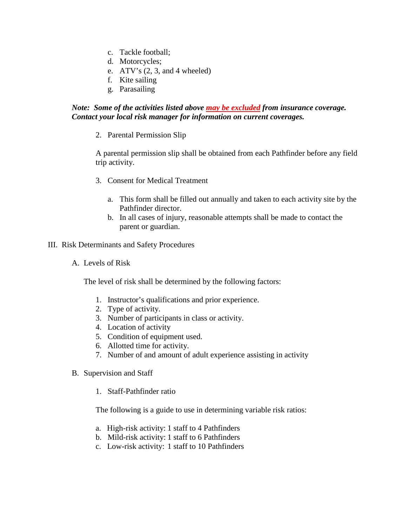- c. Tackle football;
- d. Motorcycles;
- e.  $ATV's (2, 3, and 4 wheeled)$
- f. Kite sailing
- g. Parasailing

## *Note: Some of the activities listed above may be excluded from insurance coverage. Contact your local risk manager for information on current coverages.*

2. Parental Permission Slip

A parental permission slip shall be obtained from each Pathfinder before any field trip activity.

- 3. Consent for Medical Treatment
	- a. This form shall be filled out annually and taken to each activity site by the Pathfinder director.
	- b. In all cases of injury, reasonable attempts shall be made to contact the parent or guardian.
- III. Risk Determinants and Safety Procedures
	- A. Levels of Risk

The level of risk shall be determined by the following factors:

- 1. Instructor's qualifications and prior experience.
- 2. Type of activity.
- 3. Number of participants in class or activity.
- 4. Location of activity
- 5. Condition of equipment used.
- 6. Allotted time for activity.
- 7. Number of and amount of adult experience assisting in activity
- B. Supervision and Staff
	- 1. Staff-Pathfinder ratio

The following is a guide to use in determining variable risk ratios:

- a. High-risk activity: 1 staff to 4 Pathfinders
- b. Mild-risk activity: 1 staff to 6 Pathfinders
- c. Low-risk activity: 1 staff to 10 Pathfinders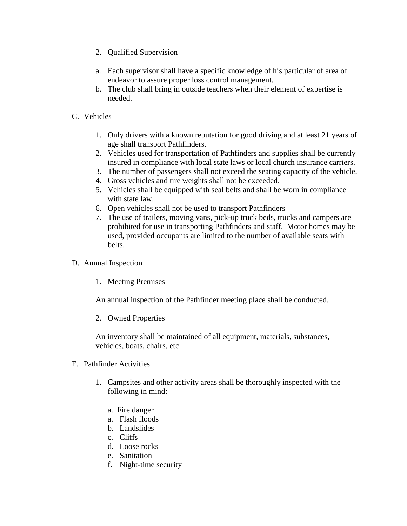- 2. Qualified Supervision
- a. Each supervisor shall have a specific knowledge of his particular of area of endeavor to assure proper loss control management.
- b. The club shall bring in outside teachers when their element of expertise is needed.
- C. Vehicles
	- 1. Only drivers with a known reputation for good driving and at least 21 years of age shall transport Pathfinders.
	- 2. Vehicles used for transportation of Pathfinders and supplies shall be currently insured in compliance with local state laws or local church insurance carriers.
	- 3. The number of passengers shall not exceed the seating capacity of the vehicle.
	- 4. Gross vehicles and tire weights shall not be exceeded.
	- 5. Vehicles shall be equipped with seal belts and shall be worn in compliance with state law.
	- 6. Open vehicles shall not be used to transport Pathfinders
	- 7. The use of trailers, moving vans, pick-up truck beds, trucks and campers are prohibited for use in transporting Pathfinders and staff. Motor homes may be used, provided occupants are limited to the number of available seats with belts.
- D. Annual Inspection
	- 1. Meeting Premises

An annual inspection of the Pathfinder meeting place shall be conducted.

2. Owned Properties

An inventory shall be maintained of all equipment, materials, substances, vehicles, boats, chairs, etc.

- E. Pathfinder Activities
	- 1. Campsites and other activity areas shall be thoroughly inspected with the following in mind:
		- a. Fire danger
		- a. Flash floods
		- b. Landslides
		- c. Cliffs
		- d. Loose rocks
		- e. Sanitation
		- f. Night-time security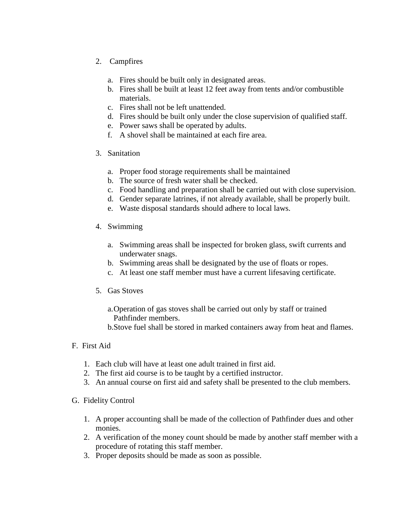- 2. Campfires
	- a. Fires should be built only in designated areas.
	- b. Fires shall be built at least 12 feet away from tents and/or combustible materials.
	- c. Fires shall not be left unattended.
	- d. Fires should be built only under the close supervision of qualified staff.
	- e. Power saws shall be operated by adults.
	- f. A shovel shall be maintained at each fire area.
- 3. Sanitation
	- a. Proper food storage requirements shall be maintained
	- b. The source of fresh water shall be checked.
	- c. Food handling and preparation shall be carried out with close supervision.
	- d. Gender separate latrines, if not already available, shall be properly built.
	- e. Waste disposal standards should adhere to local laws.
- 4. Swimming
	- a. Swimming areas shall be inspected for broken glass, swift currents and underwater snags.
	- b. Swimming areas shall be designated by the use of floats or ropes.
	- c. At least one staff member must have a current lifesaving certificate.
- 5. Gas Stoves
	- a.Operation of gas stoves shall be carried out only by staff or trained Pathfinder members.
	- b.Stove fuel shall be stored in marked containers away from heat and flames.
- F. First Aid
	- 1. Each club will have at least one adult trained in first aid.
	- 2. The first aid course is to be taught by a certified instructor.
	- 3. An annual course on first aid and safety shall be presented to the club members.
- G. Fidelity Control
	- 1. A proper accounting shall be made of the collection of Pathfinder dues and other monies.
	- 2. A verification of the money count should be made by another staff member with a procedure of rotating this staff member.
	- 3. Proper deposits should be made as soon as possible.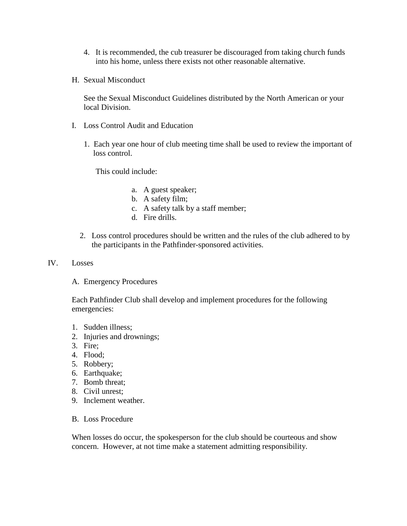- 4. It is recommended, the cub treasurer be discouraged from taking church funds into his home, unless there exists not other reasonable alternative.
- H. Sexual Misconduct

See the Sexual Misconduct Guidelines distributed by the North American or your local Division.

- I. Loss Control Audit and Education
	- 1. Each year one hour of club meeting time shall be used to review the important of loss control.

This could include:

- a. A guest speaker;
- b. A safety film;
- c. A safety talk by a staff member;
- d. Fire drills.
- 2. Loss control procedures should be written and the rules of the club adhered to by the participants in the Pathfinder-sponsored activities.
- IV. Losses
	- A. Emergency Procedures

Each Pathfinder Club shall develop and implement procedures for the following emergencies:

- 1. Sudden illness;
- 2. Injuries and drownings;
- 3. Fire;
- 4. Flood;
- 5. Robbery;
- 6. Earthquake;
- 7. Bomb threat;
- 8. Civil unrest;
- 9. Inclement weather.
- B. Loss Procedure

When losses do occur, the spokesperson for the club should be courteous and show concern. However, at not time make a statement admitting responsibility.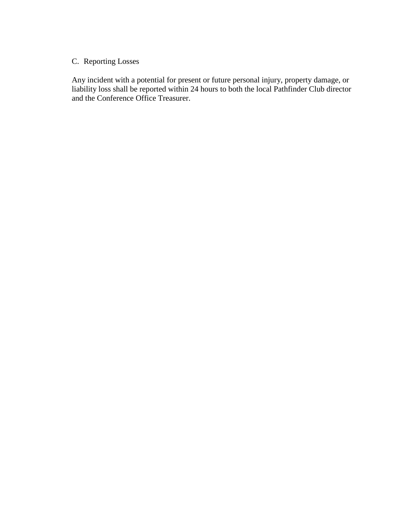## C. Reporting Losses

Any incident with a potential for present or future personal injury, property damage, or liability loss shall be reported within 24 hours to both the local Pathfinder Club director and the Conference Office Treasurer.